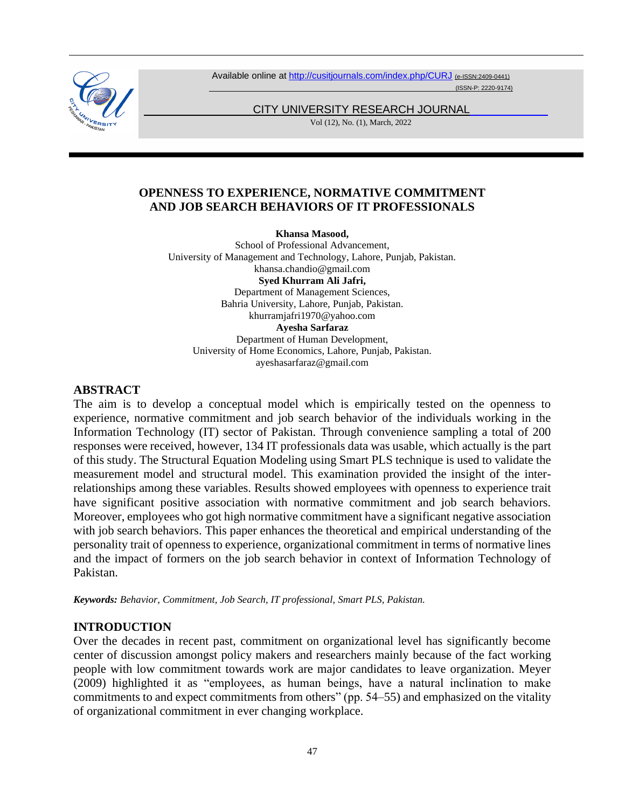

Available online at <http://cusitjournals.com/index.php/CURJ> (e-ISSN:2409-0441)

(ISSN-P: 2220-9174)

CITY UNIVERSITY RESEARCH JOURNAL

Vol (12), No. (1), March, 2022

### **OPENNESS TO EXPERIENCE, NORMATIVE COMMITMENT AND JOB SEARCH BEHAVIORS OF IT PROFESSIONALS**

**Khansa Masood,** 

School of Professional Advancement, University of Management and Technology, Lahore, Punjab, Pakistan. khansa.chandio@gmail.com **Syed Khurram Ali Jafri,**  Department of Management Sciences, Bahria University, Lahore, Punjab, Pakistan. khurramjafri1970@yahoo.com **Ayesha Sarfaraz** Department of Human Development, University of Home Economics, Lahore, Punjab, Pakistan. ayeshasarfaraz@gmail.com

#### **ABSTRACT**

The aim is to develop a conceptual model which is empirically tested on the openness to experience, normative commitment and job search behavior of the individuals working in the Information Technology (IT) sector of Pakistan. Through convenience sampling a total of 200 responses were received, however, 134 IT professionals data was usable, which actually is the part of this study. The Structural Equation Modeling using Smart PLS technique is used to validate the measurement model and structural model. This examination provided the insight of the interrelationships among these variables. Results showed employees with openness to experience trait have significant positive association with normative commitment and job search behaviors. Moreover, employees who got high normative commitment have a significant negative association with job search behaviors. This paper enhances the theoretical and empirical understanding of the personality trait of openness to experience, organizational commitment in terms of normative lines and the impact of formers on the job search behavior in context of Information Technology of Pakistan.

*Keywords: Behavior, Commitment, Job Search, IT professional, Smart PLS, Pakistan.*

## **INTRODUCTION**

Over the decades in recent past, commitment on organizational level has significantly become center of discussion amongst policy makers and researchers mainly because of the fact working people with low commitment towards work are major candidates to leave organization. Meyer (2009) highlighted it as "employees, as human beings, have a natural inclination to make commitments to and expect commitments from others" (pp. 54–55) and emphasized on the vitality of organizational commitment in ever changing workplace.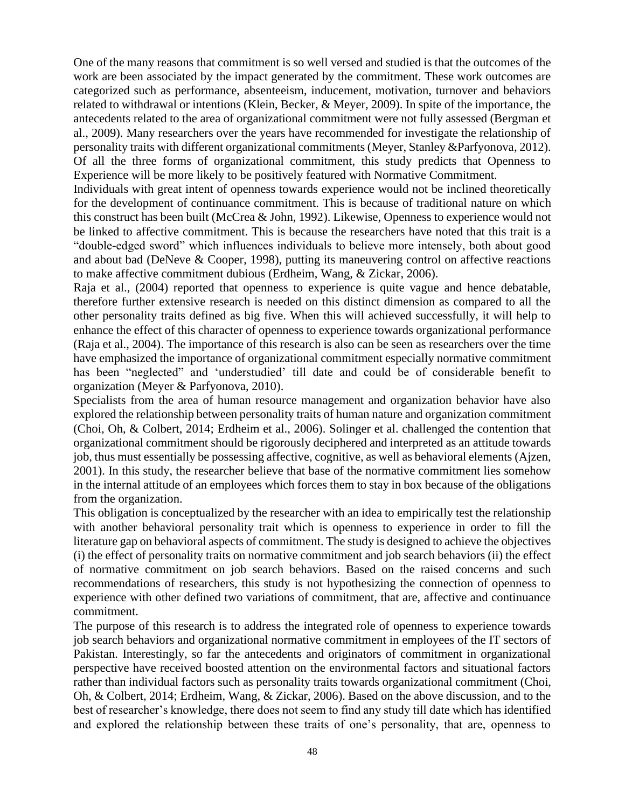One of the many reasons that commitment is so well versed and studied is that the outcomes of the work are been associated by the impact generated by the commitment. These work outcomes are categorized such as performance, absenteeism, inducement, motivation, turnover and behaviors related to withdrawal or intentions (Klein, Becker, & Meyer, 2009). In spite of the importance, the antecedents related to the area of organizational commitment were not fully assessed (Bergman et al., 2009). Many researchers over the years have recommended for investigate the relationship of personality traits with different organizational commitments (Meyer, Stanley &Parfyonova, 2012). Of all the three forms of organizational commitment, this study predicts that Openness to Experience will be more likely to be positively featured with Normative Commitment.

Individuals with great intent of openness towards experience would not be inclined theoretically for the development of continuance commitment. This is because of traditional nature on which this construct has been built (McCrea & John, 1992). Likewise, Openness to experience would not be linked to affective commitment. This is because the researchers have noted that this trait is a "double-edged sword" which influences individuals to believe more intensely, both about good and about bad (DeNeve & Cooper, 1998), putting its maneuvering control on affective reactions to make affective commitment dubious (Erdheim, Wang, & Zickar, 2006).

Raja et al., (2004) reported that openness to experience is quite vague and hence debatable, therefore further extensive research is needed on this distinct dimension as compared to all the other personality traits defined as big five. When this will achieved successfully, it will help to enhance the effect of this character of openness to experience towards organizational performance (Raja et al., 2004). The importance of this research is also can be seen as researchers over the time have emphasized the importance of organizational commitment especially normative commitment has been "neglected" and 'understudied' till date and could be of considerable benefit to organization (Meyer & Parfyonova, 2010).

Specialists from the area of human resource management and organization behavior have also explored the relationship between personality traits of human nature and organization commitment (Choi, Oh, & Colbert, 2014; Erdheim et al., 2006). Solinger et al. challenged the contention that organizational commitment should be rigorously deciphered and interpreted as an attitude towards job, thus must essentially be possessing affective, cognitive, as well as behavioral elements (Ajzen, 2001). In this study, the researcher believe that base of the normative commitment lies somehow in the internal attitude of an employees which forces them to stay in box because of the obligations from the organization.

This obligation is conceptualized by the researcher with an idea to empirically test the relationship with another behavioral personality trait which is openness to experience in order to fill the literature gap on behavioral aspects of commitment. The study is designed to achieve the objectives (i) the effect of personality traits on normative commitment and job search behaviors (ii) the effect of normative commitment on job search behaviors. Based on the raised concerns and such recommendations of researchers, this study is not hypothesizing the connection of openness to experience with other defined two variations of commitment, that are, affective and continuance commitment.

The purpose of this research is to address the integrated role of openness to experience towards job search behaviors and organizational normative commitment in employees of the IT sectors of Pakistan. Interestingly, so far the antecedents and originators of commitment in organizational perspective have received boosted attention on the environmental factors and situational factors rather than individual factors such as personality traits towards organizational commitment (Choi, Oh, & Colbert, 2014; Erdheim, Wang, & Zickar, 2006). Based on the above discussion, and to the best of researcher's knowledge, there does not seem to find any study till date which has identified and explored the relationship between these traits of one's personality, that are, openness to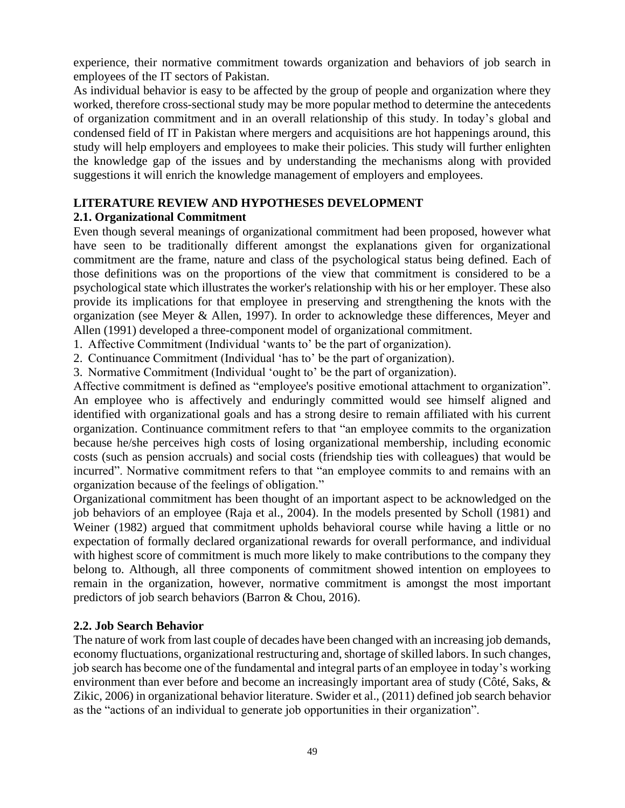experience, their normative commitment towards organization and behaviors of job search in employees of the IT sectors of Pakistan.

As individual behavior is easy to be affected by the group of people and organization where they worked, therefore cross-sectional study may be more popular method to determine the antecedents of organization commitment and in an overall relationship of this study. In today's global and condensed field of IT in Pakistan where mergers and acquisitions are hot happenings around, this study will help employers and employees to make their policies. This study will further enlighten the knowledge gap of the issues and by understanding the mechanisms along with provided suggestions it will enrich the knowledge management of employers and employees.

# **LITERATURE REVIEW AND HYPOTHESES DEVELOPMENT**

## **2.1. Organizational Commitment**

Even though several meanings of organizational commitment had been proposed, however what have seen to be traditionally different amongst the explanations given for organizational commitment are the frame, nature and class of the psychological status being defined. Each of those definitions was on the proportions of the view that commitment is considered to be a psychological state which illustrates the worker's relationship with his or her employer. These also provide its implications for that employee in preserving and strengthening the knots with the organization (see Meyer & Allen, 1997). In order to acknowledge these differences, Meyer and Allen (1991) developed a three-component model of organizational commitment.

1. Affective Commitment (Individual 'wants to' be the part of organization).

2. Continuance Commitment (Individual 'has to' be the part of organization).

3. Normative Commitment (Individual 'ought to' be the part of organization).

Affective commitment is defined as "employee's positive emotional attachment to organization". An employee who is affectively and enduringly committed would see himself aligned and identified with organizational goals and has a strong desire to remain affiliated with his current organization. Continuance commitment refers to that "an employee commits to the organization because he/she perceives high costs of losing organizational membership, including economic costs (such as pension accruals) and social costs (friendship ties with colleagues) that would be incurred". Normative commitment refers to that "an employee commits to and remains with an organization because of the feelings of obligation."

Organizational commitment has been thought of an important aspect to be acknowledged on the job behaviors of an employee (Raja et al., 2004). In the models presented by Scholl (1981) and Weiner (1982) argued that commitment upholds behavioral course while having a little or no expectation of formally declared organizational rewards for overall performance, and individual with highest score of commitment is much more likely to make contributions to the company they belong to. Although, all three components of commitment showed intention on employees to remain in the organization, however, normative commitment is amongst the most important predictors of job search behaviors (Barron & Chou, 2016).

## **2.2. Job Search Behavior**

The nature of work from last couple of decades have been changed with an increasing job demands, economy fluctuations, organizational restructuring and, shortage of skilled labors. In such changes, job search has become one of the fundamental and integral parts of an employee in today's working environment than ever before and become an increasingly important area of study (Côté, Saks, & Zikic, 2006) in organizational behavior literature. Swider et al., (2011) defined job search behavior as the "actions of an individual to generate job opportunities in their organization".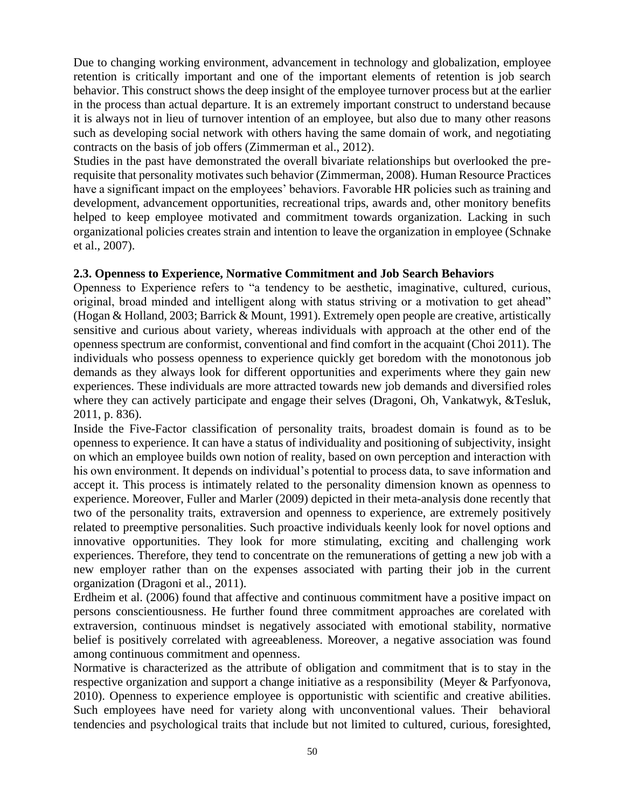Due to changing working environment, advancement in technology and globalization, employee retention is critically important and one of the important elements of retention is job search behavior. This construct shows the deep insight of the employee turnover process but at the earlier in the process than actual departure. It is an extremely important construct to understand because it is always not in lieu of turnover intention of an employee, but also due to many other reasons such as developing social network with others having the same domain of work, and negotiating contracts on the basis of job offers (Zimmerman et al., 2012).

Studies in the past have demonstrated the overall bivariate relationships but overlooked the prerequisite that personality motivates such behavior (Zimmerman, 2008). Human Resource Practices have a significant impact on the employees' behaviors. Favorable HR policies such as training and development, advancement opportunities, recreational trips, awards and, other monitory benefits helped to keep employee motivated and commitment towards organization. Lacking in such organizational policies creates strain and intention to leave the organization in employee (Schnake et al., 2007).

### **2.3. Openness to Experience, Normative Commitment and Job Search Behaviors**

Openness to Experience refers to "a tendency to be aesthetic, imaginative, cultured, curious, original, broad minded and intelligent along with status striving or a motivation to get ahead" (Hogan & Holland, 2003; Barrick & Mount, 1991). Extremely open people are creative, artistically sensitive and curious about variety, whereas individuals with approach at the other end of the openness spectrum are conformist, conventional and find comfort in the acquaint (Choi 2011). The individuals who possess openness to experience quickly get boredom with the monotonous job demands as they always look for different opportunities and experiments where they gain new experiences. These individuals are more attracted towards new job demands and diversified roles where they can actively participate and engage their selves (Dragoni, Oh, Vankatwyk, &Tesluk, 2011, p. 836).

Inside the Five-Factor classification of personality traits, broadest domain is found as to be openness to experience. It can have a status of individuality and positioning of subjectivity, insight on which an employee builds own notion of reality, based on own perception and interaction with his own environment. It depends on individual's potential to process data, to save information and accept it. This process is intimately related to the personality dimension known as openness to experience. Moreover, Fuller and Marler (2009) depicted in their meta-analysis done recently that two of the personality traits, extraversion and openness to experience, are extremely positively related to preemptive personalities. Such proactive individuals keenly look for novel options and innovative opportunities. They look for more stimulating, exciting and challenging work experiences. Therefore, they tend to concentrate on the remunerations of getting a new job with a new employer rather than on the expenses associated with parting their job in the current organization (Dragoni et al., 2011).

Erdheim et al. (2006) found that affective and continuous commitment have a positive impact on persons conscientiousness. He further found three commitment approaches are corelated with extraversion, continuous mindset is negatively associated with emotional stability, normative belief is positively correlated with agreeableness. Moreover, a negative association was found among continuous commitment and openness.

Normative is characterized as the attribute of obligation and commitment that is to stay in the respective organization and support a change initiative as a responsibility (Meyer & Parfyonova, 2010). Openness to experience employee is opportunistic with scientific and creative abilities. Such employees have need for variety along with unconventional values. Their behavioral tendencies and psychological traits that include but not limited to cultured, curious, foresighted,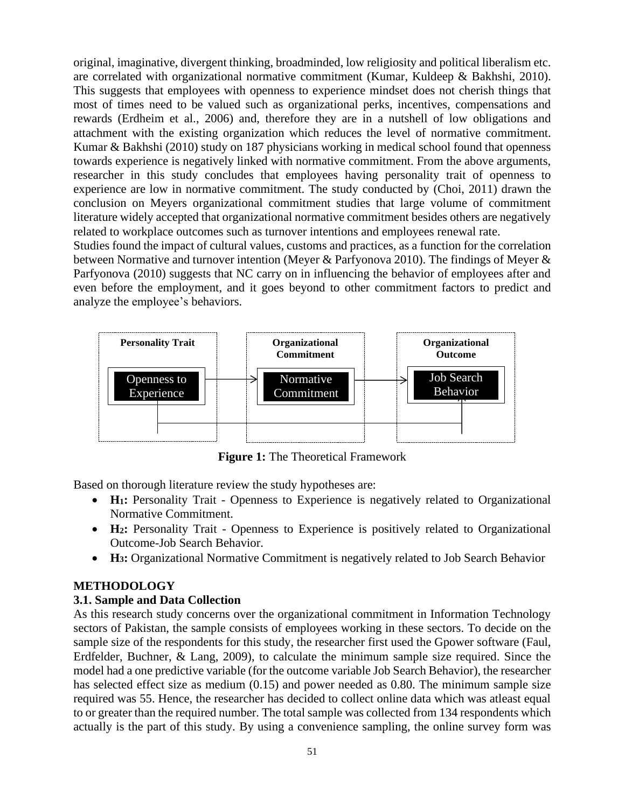original, imaginative, divergent thinking, broadminded, low religiosity and political liberalism etc. are correlated with organizational normative commitment (Kumar, Kuldeep & Bakhshi, 2010). This suggests that employees with openness to experience mindset does not cherish things that most of times need to be valued such as organizational perks, incentives, compensations and rewards (Erdheim et al., 2006) and, therefore they are in a nutshell of low obligations and attachment with the existing organization which reduces the level of normative commitment. Kumar & Bakhshi (2010) study on 187 physicians working in medical school found that openness towards experience is negatively linked with normative commitment. From the above arguments, researcher in this study concludes that employees having personality trait of openness to experience are low in normative commitment. The study conducted by (Choi, 2011) drawn the conclusion on Meyers organizational commitment studies that large volume of commitment literature widely accepted that organizational normative commitment besides others are negatively related to workplace outcomes such as turnover intentions and employees renewal rate.

Studies found the impact of cultural values, customs and practices, as a function for the correlation between Normative and turnover intention (Meyer & Parfyonova 2010). The findings of Meyer & Parfyonova (2010) suggests that NC carry on in influencing the behavior of employees after and even before the employment, and it goes beyond to other commitment factors to predict and analyze the employee's behaviors.



**Figure 1:** The Theoretical Framework

Based on thorough literature review the study hypotheses are:

- **H**<sub>1</sub>: Personality Trait Openness to Experience is negatively related to Organizational Normative Commitment.
- **H<sub>2</sub>**: Personality Trait Openness to Experience is positively related to Organizational Outcome-Job Search Behavior.
- **H<sub>3</sub>**: Organizational Normative Commitment is negatively related to Job Search Behavior

## **METHODOLOGY**

## **3.1. Sample and Data Collection**

As this research study concerns over the organizational commitment in Information Technology sectors of Pakistan, the sample consists of employees working in these sectors. To decide on the sample size of the respondents for this study, the researcher first used the Gpower software (Faul, Erdfelder, Buchner, & Lang, 2009), to calculate the minimum sample size required. Since the model had a one predictive variable (for the outcome variable Job Search Behavior), the researcher has selected effect size as medium (0.15) and power needed as 0.80. The minimum sample size required was 55. Hence, the researcher has decided to collect online data which was atleast equal to or greater than the required number. The total sample was collected from 134 respondents which actually is the part of this study. By using a convenience sampling, the online survey form was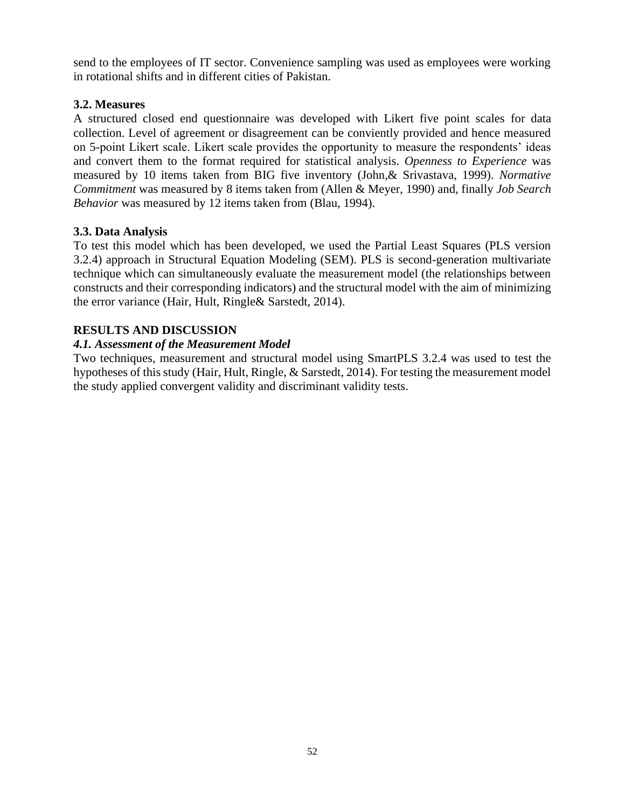send to the employees of IT sector. Convenience sampling was used as employees were working in rotational shifts and in different cities of Pakistan.

### **3.2. Measures**

A structured closed end questionnaire was developed with Likert five point scales for data collection. Level of agreement or disagreement can be conviently provided and hence measured on 5-point Likert scale. Likert scale provides the opportunity to measure the respondents' ideas and convert them to the format required for statistical analysis. *Openness to Experience* was measured by 10 items taken from BIG five inventory (John,& Srivastava, 1999). *Normative Commitment* was measured by 8 items taken from (Allen & Meyer, 1990) and, finally *Job Search Behavior* was measured by 12 items taken from (Blau, 1994).

### **3.3. Data Analysis**

To test this model which has been developed, we used the Partial Least Squares (PLS version 3.2.4) approach in Structural Equation Modeling (SEM). PLS is second-generation multivariate technique which can simultaneously evaluate the measurement model (the relationships between constructs and their corresponding indicators) and the structural model with the aim of minimizing the error variance (Hair, Hult, Ringle& Sarstedt, 2014).

### **RESULTS AND DISCUSSION**

### *4.1. Assessment of the Measurement Model*

Two techniques, measurement and structural model using SmartPLS 3.2.4 was used to test the hypotheses of this study (Hair, Hult, Ringle, & Sarstedt, 2014). For testing the measurement model the study applied convergent validity and discriminant validity tests.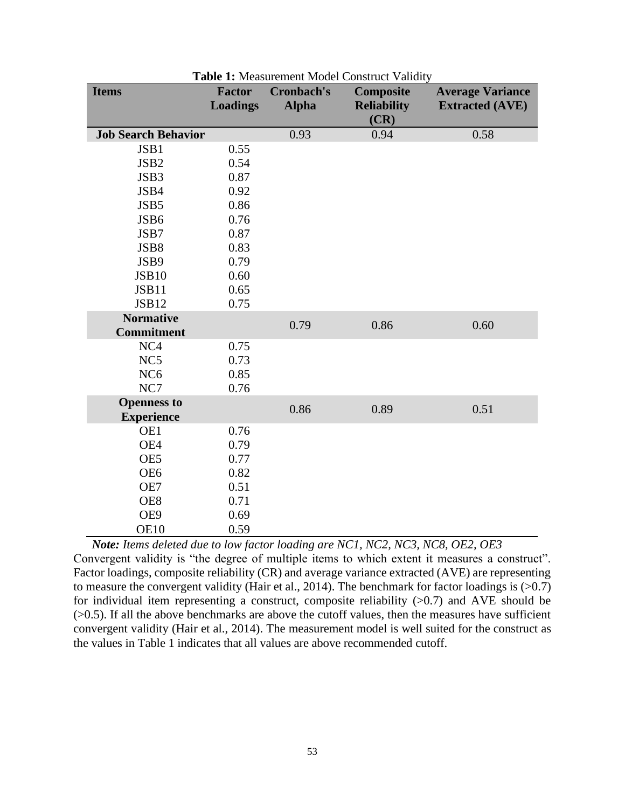| <b>Items</b>                            | <b>Factor</b><br><b>Loadings</b> | <b>Cronbach's</b><br><b>Alpha</b> | Composite<br><b>Reliability</b><br>(CR) | <b>Average Variance</b><br><b>Extracted (AVE)</b> |
|-----------------------------------------|----------------------------------|-----------------------------------|-----------------------------------------|---------------------------------------------------|
| <b>Job Search Behavior</b>              |                                  | 0.93                              | 0.94                                    | 0.58                                              |
| JSB1                                    | 0.55                             |                                   |                                         |                                                   |
| JSB <sub>2</sub>                        | 0.54                             |                                   |                                         |                                                   |
| JSB3                                    | 0.87                             |                                   |                                         |                                                   |
| JSB4                                    | 0.92                             |                                   |                                         |                                                   |
| JSB5                                    | 0.86                             |                                   |                                         |                                                   |
| JSB6                                    | 0.76                             |                                   |                                         |                                                   |
| JSB7                                    | 0.87                             |                                   |                                         |                                                   |
| JSB8                                    | 0.83                             |                                   |                                         |                                                   |
| JSB9                                    | 0.79                             |                                   |                                         |                                                   |
| <b>JSB10</b>                            | 0.60                             |                                   |                                         |                                                   |
| JSB11                                   | 0.65                             |                                   |                                         |                                                   |
| <b>JSB12</b>                            | 0.75                             |                                   |                                         |                                                   |
| <b>Normative</b>                        |                                  | 0.79                              | 0.86                                    | 0.60                                              |
| <b>Commitment</b>                       |                                  |                                   |                                         |                                                   |
| NC <sub>4</sub>                         | 0.75                             |                                   |                                         |                                                   |
| NC <sub>5</sub>                         | 0.73                             |                                   |                                         |                                                   |
| NC <sub>6</sub>                         | 0.85                             |                                   |                                         |                                                   |
| NC7                                     | 0.76                             |                                   |                                         |                                                   |
| <b>Openness to</b><br><b>Experience</b> |                                  | 0.86                              | 0.89                                    | 0.51                                              |
| OE1                                     | 0.76                             |                                   |                                         |                                                   |
| OE4                                     | 0.79                             |                                   |                                         |                                                   |
| OE5                                     | 0.77                             |                                   |                                         |                                                   |
| OE <sub>6</sub>                         | 0.82                             |                                   |                                         |                                                   |
| OE7                                     | 0.51                             |                                   |                                         |                                                   |
| OE8                                     | 0.71                             |                                   |                                         |                                                   |
| OE9                                     | 0.69                             |                                   |                                         |                                                   |
| <b>OE10</b>                             | 0.59                             |                                   |                                         |                                                   |

**Table 1:** Measurement Model Construct Validity

 *Note: Items deleted due to low factor loading are NC1, NC2, NC3, NC8, OE2, OE3* Convergent validity is "the degree of multiple items to which extent it measures a construct". Factor loadings, composite reliability (CR) and average variance extracted (AVE) are representing to measure the convergent validity (Hair et al., 2014). The benchmark for factor loadings is  $(>0.7)$ for individual item representing a construct, composite reliability  $(>0.7)$  and AVE should be  $(0.5)$ . If all the above benchmarks are above the cutoff values, then the measures have sufficient convergent validity (Hair et al., 2014). The measurement model is well suited for the construct as the values in Table 1 indicates that all values are above recommended cutoff.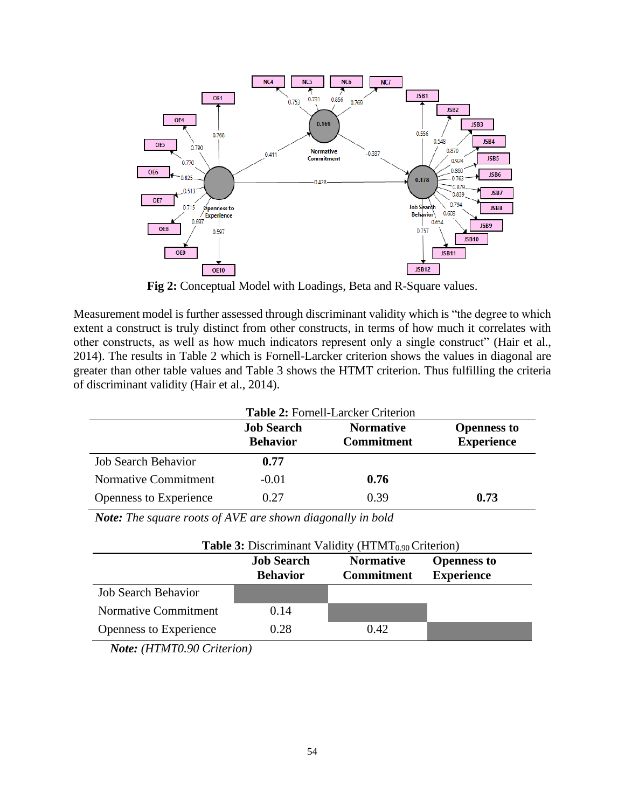

**Fig 2:** Conceptual Model with Loadings, Beta and R-Square values.

Measurement model is further assessed through discriminant validity which is "the degree to which extent a construct is truly distinct from other constructs, in terms of how much it correlates with other constructs, as well as how much indicators represent only a single construct" (Hair et al., 2014). The results in Table 2 which is Fornell-Larcker criterion shows the values in diagonal are greater than other table values and Table 3 shows the HTMT criterion. Thus fulfilling the criteria of discriminant validity (Hair et al., 2014).

|                            | <b>Table 2: Fornell-Larcker Criterion</b> |                                       |                                         |  |
|----------------------------|-------------------------------------------|---------------------------------------|-----------------------------------------|--|
|                            | <b>Job Search</b><br><b>Behavior</b>      | <b>Normative</b><br><b>Commitment</b> | <b>Openness to</b><br><b>Experience</b> |  |
| <b>Job Search Behavior</b> | 0.77                                      |                                       |                                         |  |
| Normative Commitment       | $-0.01$                                   | 0.76                                  |                                         |  |
| Openness to Experience     | 0.27                                      | 0.39                                  | 0.73                                    |  |

 *Note: The square roots of AVE are shown diagonally in bold*

| <b>Table 3:</b> Discriminant Validity ( $HTMT_{0.90}$ Criterion) |                                      |                                       |                                         |  |
|------------------------------------------------------------------|--------------------------------------|---------------------------------------|-----------------------------------------|--|
|                                                                  | <b>Job Search</b><br><b>Behavior</b> | <b>Normative</b><br><b>Commitment</b> | <b>Openness to</b><br><b>Experience</b> |  |
| <b>Job Search Behavior</b>                                       |                                      |                                       |                                         |  |
| Normative Commitment                                             | 0.14                                 |                                       |                                         |  |
| <b>Openness to Experience</b>                                    | 0.28                                 | 0.42                                  |                                         |  |

*Note: (HTMT0.90 Criterion)*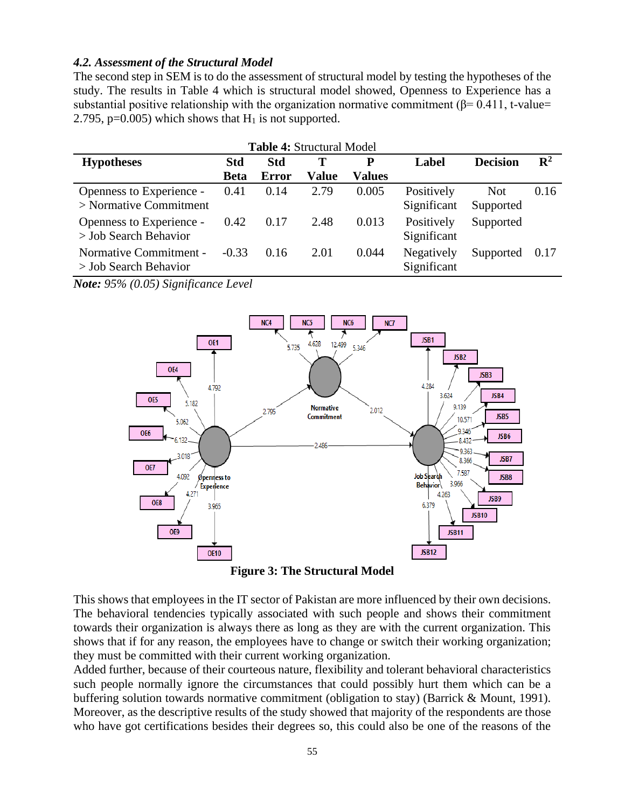#### *4.2. Assessment of the Structural Model*

The second step in SEM is to do the assessment of structural model by testing the hypotheses of the study. The results in Table 4 which is structural model showed, Openness to Experience has a substantial positive relationship with the organization normative commitment ( $\beta$ = 0.411, t-value= 2.795, p=0.005) which shows that  $H_1$  is not supported.

| <b>Table 4: Structural Model</b>                     |             |            |              |               |                           |                         |                |
|------------------------------------------------------|-------------|------------|--------------|---------------|---------------------------|-------------------------|----------------|
| <b>Hypotheses</b>                                    | Std         | <b>Std</b> | Т            | P             | Label                     | <b>Decision</b>         | $\mathbf{R}^2$ |
|                                                      | <b>Beta</b> | Error      | <b>Value</b> | <b>Values</b> |                           |                         |                |
| Openness to Experience -<br>$>$ Normative Commitment | 0.41        | 0.14       | 2.79         | 0.005         | Positively<br>Significant | <b>Not</b><br>Supported | 0.16           |
| Openness to Experience -<br>$>$ Job Search Behavior  | 0.42        | 0.17       | 2.48         | 0.013         | Positively<br>Significant | Supported               |                |
| Normative Commitment -<br>$>$ Job Search Behavior    | $-0.33$     | 0.16       | 2.01         | 0.044         | Negatively<br>Significant | Supported               | 0.17           |

*Note: 95% (0.05) Significance Level*



**Figure 3: The Structural Model**

This shows that employees in the IT sector of Pakistan are more influenced by their own decisions. The behavioral tendencies typically associated with such people and shows their commitment towards their organization is always there as long as they are with the current organization. This shows that if for any reason, the employees have to change or switch their working organization; they must be committed with their current working organization.

Added further, because of their courteous nature, flexibility and tolerant behavioral characteristics such people normally ignore the circumstances that could possibly hurt them which can be a buffering solution towards normative commitment (obligation to stay) (Barrick & Mount, 1991). Moreover, as the descriptive results of the study showed that majority of the respondents are those who have got certifications besides their degrees so, this could also be one of the reasons of the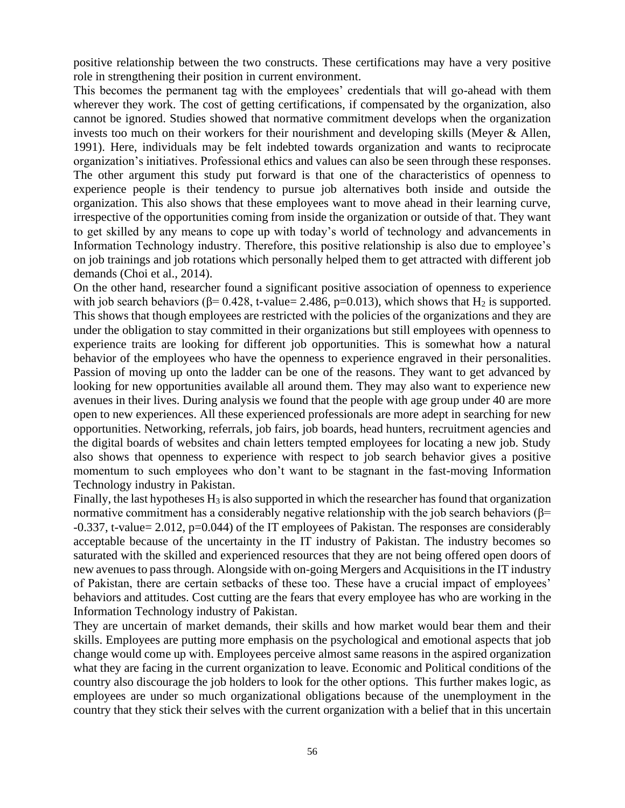positive relationship between the two constructs. These certifications may have a very positive role in strengthening their position in current environment.

This becomes the permanent tag with the employees' credentials that will go-ahead with them wherever they work. The cost of getting certifications, if compensated by the organization, also cannot be ignored. Studies showed that normative commitment develops when the organization invests too much on their workers for their nourishment and developing skills (Meyer & Allen, 1991). Here, individuals may be felt indebted towards organization and wants to reciprocate organization's initiatives. Professional ethics and values can also be seen through these responses. The other argument this study put forward is that one of the characteristics of openness to experience people is their tendency to pursue job alternatives both inside and outside the organization. This also shows that these employees want to move ahead in their learning curve, irrespective of the opportunities coming from inside the organization or outside of that. They want to get skilled by any means to cope up with today's world of technology and advancements in Information Technology industry. Therefore, this positive relationship is also due to employee's on job trainings and job rotations which personally helped them to get attracted with different job demands (Choi et al., 2014).

On the other hand, researcher found a significant positive association of openness to experience with job search behaviors ( $\beta$ = 0.428, t-value= 2.486, p=0.013), which shows that H<sub>2</sub> is supported. This shows that though employees are restricted with the policies of the organizations and they are under the obligation to stay committed in their organizations but still employees with openness to experience traits are looking for different job opportunities. This is somewhat how a natural behavior of the employees who have the openness to experience engraved in their personalities. Passion of moving up onto the ladder can be one of the reasons. They want to get advanced by looking for new opportunities available all around them. They may also want to experience new avenues in their lives. During analysis we found that the people with age group under 40 are more open to new experiences. All these experienced professionals are more adept in searching for new opportunities. Networking, referrals, job fairs, job boards, head hunters, recruitment agencies and the digital boards of websites and chain letters tempted employees for locating a new job. Study also shows that openness to experience with respect to job search behavior gives a positive momentum to such employees who don't want to be stagnant in the fast-moving Information Technology industry in Pakistan.

Finally, the last hypotheses  $H_3$  is also supported in which the researcher has found that organization normative commitment has a considerably negative relationship with the job search behaviors ( $\beta$ = -0.337, t-value= 2.012, p=0.044) of the IT employees of Pakistan. The responses are considerably acceptable because of the uncertainty in the IT industry of Pakistan. The industry becomes so saturated with the skilled and experienced resources that they are not being offered open doors of new avenues to pass through. Alongside with on-going Mergers and Acquisitions in the IT industry of Pakistan, there are certain setbacks of these too. These have a crucial impact of employees' behaviors and attitudes. Cost cutting are the fears that every employee has who are working in the Information Technology industry of Pakistan.

They are uncertain of market demands, their skills and how market would bear them and their skills. Employees are putting more emphasis on the psychological and emotional aspects that job change would come up with. Employees perceive almost same reasons in the aspired organization what they are facing in the current organization to leave. Economic and Political conditions of the country also discourage the job holders to look for the other options. This further makes logic, as employees are under so much organizational obligations because of the unemployment in the country that they stick their selves with the current organization with a belief that in this uncertain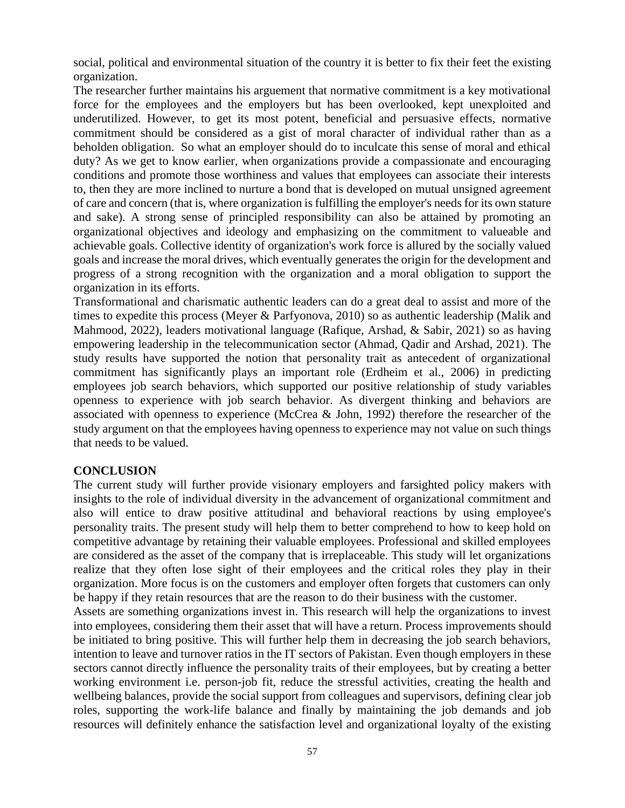social, political and environmental situation of the country it is better to fix their feet the existing organization.

The researcher further maintains his arguement that normative commitment is a key motivational force for the employees and the employers but has been overlooked, kept unexploited and underutilized. However, to get its most potent, beneficial and persuasive effects, normative commitment should be considered as a gist of moral character of individual rather than as a beholden obligation. So what an employer should do to inculcate this sense of moral and ethical duty? As we get to know earlier, when organizations provide a compassionate and encouraging conditions and promote those worthiness and values that employees can associate their interests to, then they are more inclined to nurture a bond that is developed on mutual unsigned agreement of care and concern (that is, where organization is fulfilling the employer's needs for its own stature and sake). A strong sense of principled responsibility can also be attained by promoting an organizational objectives and ideology and emphasizing on the commitment to valueable and achievable goals. Collective identity of organization's work force is allured by the socially valued goals and increase the moral drives, which eventually generates the origin for the development and progress of a strong recognition with the organization and a moral obligation to support the organization in its efforts.

Transformational and charismatic authentic leaders can do a great deal to assist and more of the times to expedite this process (Meyer & Parfyonova, 2010) so as authentic leadership (Malik and Mahmood, 2022), leaders motivational language (Rafique, Arshad, & Sabir, 2021) so as having empowering leadership in the telecommunication sector (Ahmad, Qadir and Arshad, 2021). The study results have supported the notion that personality trait as antecedent of organizational commitment has significantly plays an important role (Erdheim et al., 2006) in predicting employees job search behaviors, which supported our positive relationship of study variables openness to experience with job search behavior. As divergent thinking and behaviors are associated with openness to experience (McCrea & John, 1992) therefore the researcher of the study argument on that the employees having openness to experience may not value on such things that needs to be valued.

#### **CONCLUSION**

The current study will further provide visionary employers and farsighted policy makers with insights to the role of individual diversity in the advancement of organizational commitment and also will entice to draw positive attitudinal and behavioral reactions by using employee's personality traits. The present study will help them to better comprehend to how to keep hold on competitive advantage by retaining their valuable employees. Professional and skilled employees are considered as the asset of the company that is irreplaceable. This study will let organizations realize that they often lose sight of their employees and the critical roles they play in their organization. More focus is on the customers and employer often forgets that customers can only be happy if they retain resources that are the reason to do their business with the customer.

Assets are something organizations invest in. This research will help the organizations to invest into employees, considering them their asset that will have a return. Process improvements should be initiated to bring positive. This will further help them in decreasing the job search behaviors, intention to leave and turnover ratios in the IT sectors of Pakistan. Even though employers in these sectors cannot directly influence the personality traits of their employees, but by creating a better working environment i.e. person-job fit, reduce the stressful activities, creating the health and wellbeing balances, provide the social support from colleagues and supervisors, defining clear job roles, supporting the work-life balance and finally by maintaining the job demands and job resources will definitely enhance the satisfaction level and organizational loyalty of the existing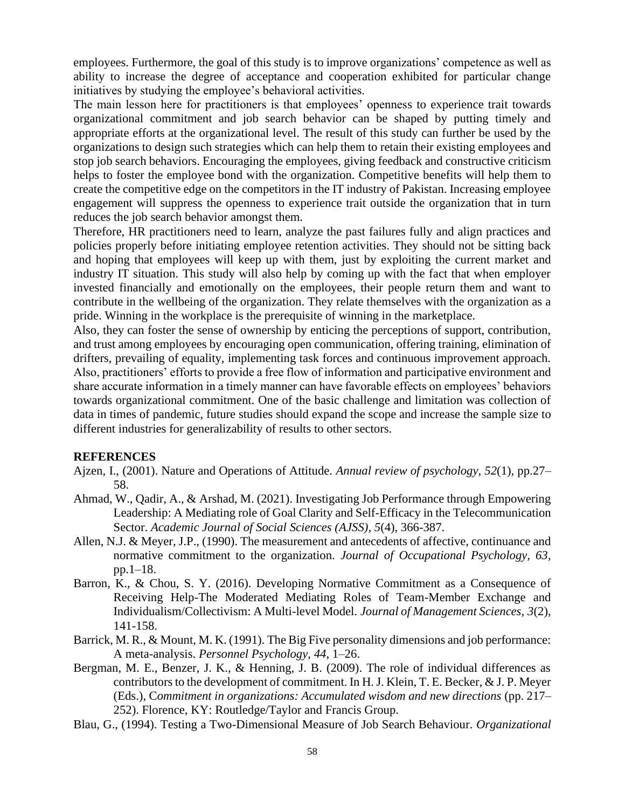employees. Furthermore, the goal of this study is to improve organizations' competence as well as ability to increase the degree of acceptance and cooperation exhibited for particular change initiatives by studying the employee's behavioral activities.

The main lesson here for practitioners is that employees' openness to experience trait towards organizational commitment and job search behavior can be shaped by putting timely and appropriate efforts at the organizational level. The result of this study can further be used by the organizations to design such strategies which can help them to retain their existing employees and stop job search behaviors. Encouraging the employees, giving feedback and constructive criticism helps to foster the employee bond with the organization. Competitive benefits will help them to create the competitive edge on the competitors in the IT industry of Pakistan. Increasing employee engagement will suppress the openness to experience trait outside the organization that in turn reduces the job search behavior amongst them.

Therefore, HR practitioners need to learn, analyze the past failures fully and align practices and policies properly before initiating employee retention activities. They should not be sitting back and hoping that employees will keep up with them, just by exploiting the current market and industry IT situation. This study will also help by coming up with the fact that when employer invested financially and emotionally on the employees, their people return them and want to contribute in the wellbeing of the organization. They relate themselves with the organization as a pride. Winning in the workplace is the prerequisite of winning in the marketplace.

Also, they can foster the sense of ownership by enticing the perceptions of support, contribution, and trust among employees by encouraging open communication, offering training, elimination of drifters, prevailing of equality, implementing task forces and continuous improvement approach. Also, practitioners' efforts to provide a free flow of information and participative environment and share accurate information in a timely manner can have favorable effects on employees' behaviors towards organizational commitment. One of the basic challenge and limitation was collection of data in times of pandemic, future studies should expand the scope and increase the sample size to different industries for generalizability of results to other sectors.

#### **REFERENCES**

- Ajzen, I., (2001). Nature and Operations of Attitude. *Annual review of psychology, 52*(1), pp.27– 58.
- Ahmad, W., Qadir, A., & Arshad, M. (2021). Investigating Job Performance through Empowering Leadership: A Mediating role of Goal Clarity and Self-Efficacy in the Telecommunication Sector. *Academic Journal of Social Sciences (AJSS), 5*(4), 366-387.
- Allen, N.J. & Meyer, J.P., (1990). The measurement and antecedents of affective, continuance and normative commitment to the organization. *Journal of Occupational Psychology, 63*, pp.1–18.
- Barron, K., & Chou, S. Y. (2016). Developing Normative Commitment as a Consequence of Receiving Help-The Moderated Mediating Roles of Team-Member Exchange and Individualism/Collectivism: A Multi-level Model. *Journal of Management Sciences, 3*(2), 141-158.
- Barrick, M. R., & Mount, M. K. (1991). The Big Five personality dimensions and job performance: A meta-analysis. *Personnel Psychology, 44*, 1–26.
- Bergman, M. E., Benzer, J. K., & Henning, J. B. (2009). The role of individual differences as contributors to the development of commitment. In H. J. Klein, T. E. Becker, & J. P. Meyer (Eds.), C*ommitment in organizations: Accumulated wisdom and new directions* (pp. 217– 252). Florence, KY: Routledge/Taylor and Francis Group.
- Blau, G., (1994). Testing a Two-Dimensional Measure of Job Search Behaviour. *Organizational*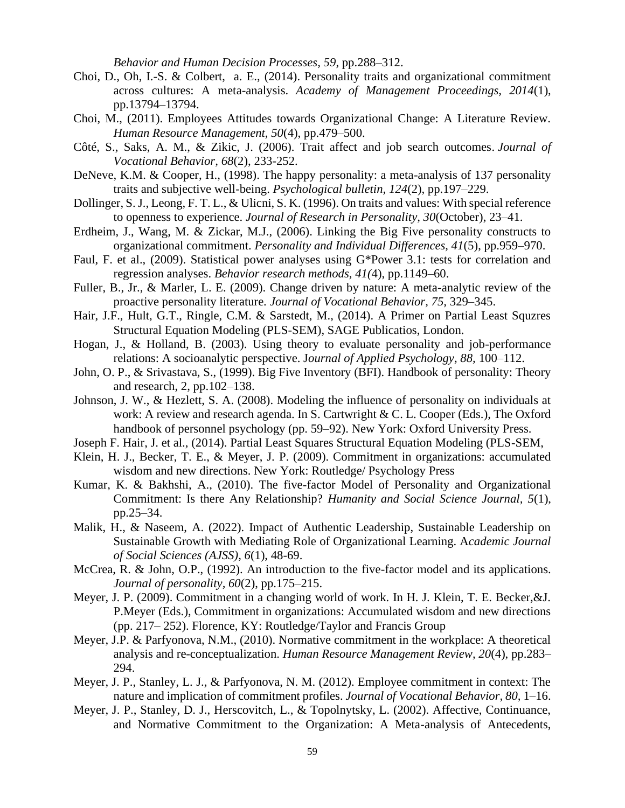*Behavior and Human Decision Processes, 59*, pp.288–312.

- Choi, D., Oh, I.-S. & Colbert, a. E., (2014). Personality traits and organizational commitment across cultures: A meta-analysis. *Academy of Management Proceedings, 2014*(1), pp.13794–13794.
- Choi, M., (2011). Employees Attitudes towards Organizational Change: A Literature Review. *Human Resource Management, 50*(4), pp.479–500.
- Côté, S., Saks, A. M., & Zikic, J. (2006). Trait affect and job search outcomes. *Journal of Vocational Behavior, 68*(2), 233-252.
- DeNeve, K.M. & Cooper, H., (1998). The happy personality: a meta-analysis of 137 personality traits and subjective well-being. *Psychological bulletin, 124*(2), pp.197–229.
- Dollinger, S. J., Leong, F. T. L., & Ulicni, S. K. (1996). On traits and values: With special reference to openness to experience. *Journal of Research in Personality, 30*(October), 23–41.
- Erdheim, J., Wang, M. & Zickar, M.J., (2006). Linking the Big Five personality constructs to organizational commitment. *Personality and Individual Differences, 41*(5), pp.959–970.
- Faul, F. et al., (2009). Statistical power analyses using G\*Power 3.1: tests for correlation and regression analyses. *Behavior research methods, 41(*4), pp.1149–60.
- Fuller, B., Jr., & Marler, L. E. (2009). Change driven by nature: A meta-analytic review of the proactive personality literature. *Journal of Vocational Behavior, 75,* 329–345.
- Hair, J.F., Hult, G.T., Ringle, C.M. & Sarstedt, M., (2014). A Primer on Partial Least Squzres Structural Equation Modeling (PLS-SEM), SAGE Publicatios, London.
- Hogan, J., & Holland, B. (2003). Using theory to evaluate personality and job-performance relations: A socioanalytic perspective. J*ournal of Applied Psychology, 88,* 100–112.
- John, O. P., & Srivastava, S., (1999). Big Five Inventory (BFI). Handbook of personality: Theory and research, 2, pp.102–138.
- Johnson, J. W., & Hezlett, S. A. (2008). Modeling the influence of personality on individuals at work: A review and research agenda. In S. Cartwright & C. L. Cooper (Eds.), The Oxford handbook of personnel psychology (pp. 59–92). New York: Oxford University Press.
- Joseph F. Hair, J. et al., (2014). Partial Least Squares Structural Equation Modeling (PLS-SEM,
- Klein, H. J., Becker, T. E., & Meyer, J. P. (2009). Commitment in organizations: accumulated wisdom and new directions. New York: Routledge/ Psychology Press
- Kumar, K. & Bakhshi, A., (2010). The five-factor Model of Personality and Organizational Commitment: Is there Any Relationship? *Humanity and Social Science Journal, 5*(1), pp.25–34.
- Malik, H., & Naseem, A. (2022). Impact of Authentic Leadership, Sustainable Leadership on Sustainable Growth with Mediating Role of Organizational Learning. A*cademic Journal of Social Sciences (AJSS), 6*(1), 48-69.
- McCrea, R. & John, O.P., (1992). An introduction to the five-factor model and its applications. *Journal of personality, 60*(2), pp.175–215.
- Meyer, J. P. (2009). Commitment in a changing world of work. In H. J. Klein, T. E. Becker,&J. P.Meyer (Eds.), Commitment in organizations: Accumulated wisdom and new directions (pp. 217– 252). Florence, KY: Routledge/Taylor and Francis Group
- Meyer, J.P. & Parfyonova, N.M., (2010). Normative commitment in the workplace: A theoretical analysis and re-conceptualization. *Human Resource Management Review, 20*(4), pp.283– 294.
- Meyer, J. P., Stanley, L. J., & Parfyonova, N. M. (2012). Employee commitment in context: The nature and implication of commitment profiles. *Journal of Vocational Behavior, 80,* 1–16.
- Meyer, J. P., Stanley, D. J., Herscovitch, L., & Topolnytsky, L. (2002). Affective, Continuance, and Normative Commitment to the Organization: A Meta-analysis of Antecedents,